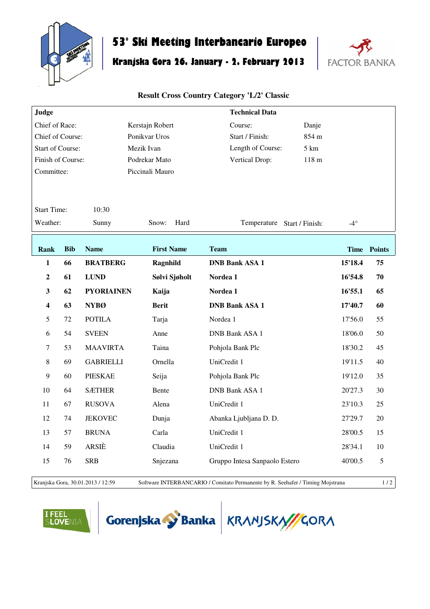

## **53° Ski Meeting Interbancario Europeo**

# **Kranjska Gora 26. January - 2. February 2013**



#### **Result Cross Country Category 'L/2' Classic**

| Judge                   |            |                   | <b>Technical Data</b>                        |                                     |            |             |  |  |
|-------------------------|------------|-------------------|----------------------------------------------|-------------------------------------|------------|-------------|--|--|
| Chief of Race:          |            |                   | Kerstajn Robert                              | Course:<br>Danje                    |            |             |  |  |
| Chief of Course:        |            |                   | Ponikvar Uros                                | Start / Finish:<br>854 m            |            |             |  |  |
| <b>Start of Course:</b> |            |                   | Mezik Ivan                                   | Length of Course:<br>$5 \text{ km}$ |            |             |  |  |
| Finish of Course:       |            |                   | Podrekar Mato                                | 118 <sub>m</sub><br>Vertical Drop:  |            |             |  |  |
| Committee:              |            |                   | Piccinali Mauro                              |                                     |            |             |  |  |
|                         |            |                   |                                              |                                     |            |             |  |  |
|                         |            |                   |                                              |                                     |            |             |  |  |
| <b>Start Time:</b>      |            | 10:30             |                                              |                                     |            |             |  |  |
| Weather:                |            | Sunny             | Snow:<br>Hard<br>Temperature Start / Finish: |                                     | $-4^\circ$ |             |  |  |
|                         |            |                   |                                              |                                     |            |             |  |  |
| <b>Rank</b>             | <b>Bib</b> | <b>Name</b>       | <b>First Name</b>                            | <b>Team</b>                         |            | Time Points |  |  |
| $\mathbf{1}$            | 66         | <b>BRATBERG</b>   | Ragnhild                                     | <b>DNB Bank ASA 1</b>               | 15'18.4    | 75          |  |  |
| $\overline{2}$          | 61         | <b>LUND</b>       | Sølvi Sjøholt                                | Nordea 1                            | 16'54.8    | 70          |  |  |
| $\mathbf{3}$            | 62         | <b>PYORIAINEN</b> | Kaija                                        | Nordea 1                            | 16'55.1    | 65          |  |  |
| $\overline{\mathbf{4}}$ | 63         | <b>NYBØ</b>       | <b>Berit</b>                                 | <b>DNB Bank ASA 1</b>               | 17'40.7    | 60          |  |  |
| 5                       | 72         | <b>POTILA</b>     | Tarja                                        | Nordea 1                            | 17'56.0    | 55          |  |  |
| 6                       | 54         | <b>SVEEN</b>      | Anne                                         | <b>DNB Bank ASA 1</b>               | 18'06.0    | 50          |  |  |
| $\overline{7}$          | 53         | <b>MAAVIRTA</b>   | Taina                                        | Pohjola Bank Plc                    | 18'30.2    | 45          |  |  |
| $\,8\,$                 | 69         | <b>GABRIELLI</b>  | Ornella                                      | UniCredit 1                         | 19'11.5    | 40          |  |  |
| 9                       | 60         | <b>PIESKAE</b>    | Seija                                        | Pohjola Bank Plc                    | 19'12.0    | 35          |  |  |
| 10                      | 64         | <b>SÆTHER</b>     | Bente                                        | <b>DNB Bank ASA 1</b>               | 20'27.3    | 30          |  |  |
| 11                      | 67         | <b>RUSOVA</b>     | Alena                                        | UniCredit 1                         | 23'10.3    | 25          |  |  |
| 12                      | 74         | <b>JEKOVEC</b>    | Dunja                                        | Abanka Ljubljana D. D.              | 27'29.7    | 20          |  |  |
| 13                      | 57         | <b>BRUNA</b>      | Carla                                        | UniCredit 1                         | 28'00.5    | 15          |  |  |
| 14                      | 59         | ARSIÈ             | Claudia                                      | UniCredit 1                         | 28'34.1    | 10          |  |  |
| 15                      | 76         | <b>SRB</b>        | Snjezana                                     | Gruppo Intesa Sanpaolo Estero       | 40'00.5    | 5           |  |  |
|                         |            |                   |                                              |                                     |            |             |  |  |

Kranjska Gora, 30.01.2013 / 12:59 Software INTERBANCARIO / Comitato Permanente by R. Seehafer / Timing Mojstrana 1 / 2